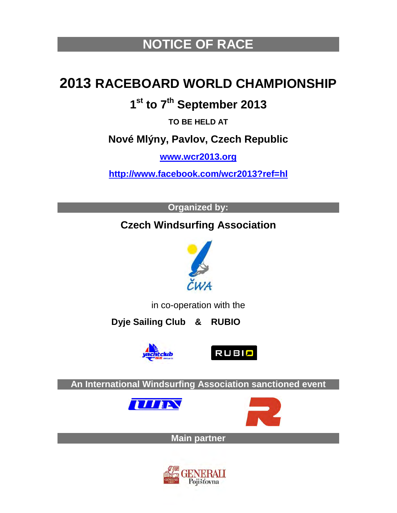# **NOTICE OF RACE**

# **2013 RACEBOARD WORLD CHAMPIONSHIP**

## **1st to 7th September 2013**

**TO BE HELD AT**

## **Nové Mlýny, Pavlov, Czech Republic**

**[www.wcr2013.org](http://www.wcr2013.org/)**

**<http://www.facebook.com/wcr2013?ref=hl>**

**Organized by:**

## **Czech Windsurfing Association**



in co-operation with the

 **Dyje Sailing Club & RUBIO**





**An International Windsurfing Association sanctioned event**





**Main partner**

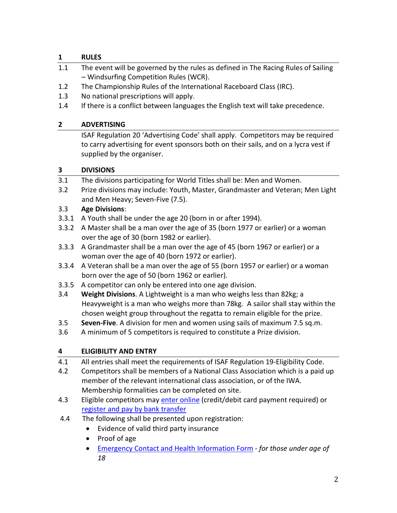## **1 RULES**

- 1.1 The event will be governed by the rules as defined in The Racing Rules of Sailing – Windsurfing Competition Rules (WCR).
- 1.2 The Championship Rules of the International Raceboard Class (IRC).
- 1.3 No national prescriptions will apply.
- 1.4 If there is a conflict between languages the English text will take precedence.

## **2 ADVERTISING**

ISAF Regulation 20 'Advertising Code' shall apply. Competitors may be required to carry advertising for event sponsors both on their sails, and on a lycra vest if supplied by the organiser.

## **3 DIVISIONS**

- 3.1 The divisions participating for World Titles shall be: Men and Women.
- 3.2 Prize divisions may include: Youth, Master, Grandmaster and Veteran; Men Light and Men Heavy; Seven-Five (7.5).

## 3.3 **Age Divisions**:

- 3.3.1 A Youth shall be under the age 20 (born in or after 1994).
- 3.3.2 A Master shall be a man over the age of 35 (born 1977 or earlier) or a woman over the age of 30 (born 1982 or earlier).
- 3.3.3 A Grandmaster shall be a man over the age of 45 (born 1967 or earlier) or a woman over the age of 40 (born 1972 or earlier).
- 3.3.4 A Veteran shall be a man over the age of 55 (born 1957 or earlier) or a woman born over the age of 50 (born 1962 or earlier).
- 3.3.5 A competitor can only be entered into one age division.
- 3.4 **Weight Divisions**. A Lightweight is a man who weighs less than 82kg; a Heavyweight is a man who weighs more than 78kg. A sailor shall stay within the chosen weight group throughout the regatta to remain eligible for the prize.
- 3.5 **Seven-Five**. A division for men and women using sails of maximum 7.5 sq.m.
- 3.6 A minimum of 5 competitors is required to constitute a Prize division.

## **4 ELIGIBILITY AND ENTRY**

- 4.1 All entries shall meet the requirements of ISAF Regulation 19-Eligibility Code.
- 4.2 Competitors shall be members of a National Class Association which is a paid up member of the relevant international class association, or of the IWA. Membership formalities can be completed on site.
- 4.3 Eligible competitors may enter [online](https://adobeformscentral.com/?f=ZkJvvG%2Aw%2AR4hA4E1LZ0nqQ) (credit/debit card payment required) or [register and pay by bank transfer](https://adobeformscentral.com/?f=K1SPnJvea4EWoRtwmNclkA)
- 4.4 The following shall be presented upon registration:
	- Evidence of valid third party insurance
	- Proof of age
	- [Emergency Contact and Health Information Form](https://adobeformscentral.com/?f=FkCUponWIjWwwtUFeZ2-ng)  *for those under age of 18*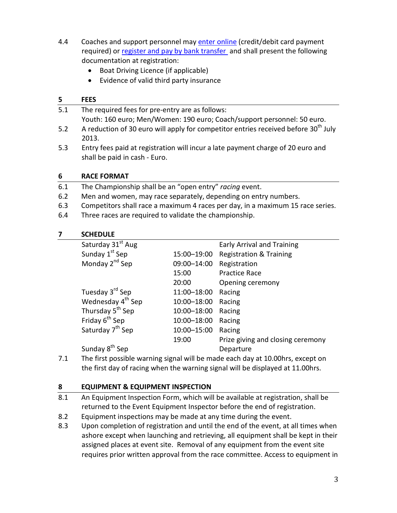- 4.4 Coaches and support personnel may enter [online](https://adobeformscentral.com/?f=zEE88%2A9RtDipvIiSUuEFtg) (credit/debit card payment required) or [register and pay by bank transfer](https://adobeformscentral.com/?f=K1SPnJvea4EWoRtwmNclkA) and shall present the following documentation at registration:
	- Boat Driving Licence (if applicable)
	- Evidence of valid third party insurance

## **5 FEES**

- 5.1 The required fees for pre-entry are as follows: Youth: 160 euro; Men/Women: 190 euro; Coach/support personnel: 50 euro. 5.2 A reduction of 30 euro will apply for competitor entries received before  $30<sup>th</sup>$  July
- 2013. 5.3 Entry fees paid at registration will incur a late payment charge of 20 euro and shall be paid in cash - Euro.

## **6 RACE FORMAT**

- 6.1 The Championship shall be an "open entry" *racing* event.
- 6.2 Men and women, may race separately, depending on entry numbers.
- 6.3 Competitors shall race a maximum 4 races per day, in a maximum 15 race series.
- 6.4 Three races are required to validate the championship.

## **7 SCHEDULE**

| Saturday 31st Aug             |             | <b>Early Arrival and Training</b>  |
|-------------------------------|-------------|------------------------------------|
| Sunday 1 <sup>st</sup> Sep    | 15:00-19:00 | <b>Registration &amp; Training</b> |
| Monday 2 <sup>nd</sup> Sep    | 09:00-14:00 | Registration                       |
|                               | 15:00       | <b>Practice Race</b>               |
|                               | 20:00       | Opening ceremony                   |
| Tuesday 3 <sup>rd</sup> Sep   | 11:00-18:00 | Racing                             |
| Wednesday 4 <sup>th</sup> Sep | 10:00-18:00 | Racing                             |
| Thursday 5 <sup>th</sup> Sep  | 10:00-18:00 | Racing                             |
| Friday 6 <sup>th</sup> Sep    | 10:00-18:00 | Racing                             |
| Saturday 7 <sup>th</sup> Sep  | 10:00-15:00 | Racing                             |
|                               | 19:00       | Prize giving and closing ceremony  |
| Sunday 8 <sup>th</sup> Sep    |             | Departure                          |

7.1 The first possible warning signal will be made each day at 10.00hrs, except on the first day of racing when the warning signal will be displayed at 11.00hrs.

## **8 EQUIPMENT & EQUIPMENT INSPECTION**

- 8.1 An Equipment Inspection Form, which will be available at registration, shall be returned to the Event Equipment Inspector before the end of registration.
- 8.2 Equipment inspections may be made at any time during the event.
- 8.3 Upon completion of registration and until the end of the event, at all times when ashore except when launching and retrieving, all equipment shall be kept in their assigned places at event site. Removal of any equipment from the event site requires prior written approval from the race committee. Access to equipment in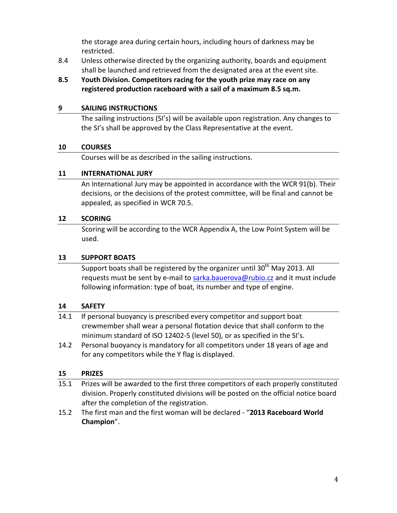the storage area during certain hours, including hours of darkness may be restricted.

- 8.4 Unless otherwise directed by the organizing authority, boards and equipment shall be launched and retrieved from the designated area at the event site.
- **8.5 Youth Division. Competitors racing for the youth prize may race on any registered production raceboard with a sail of a maximum 8.5 sq.m.**

#### **9 SAILING INSTRUCTIONS**

The sailing instructions (SI's) will be available upon registration. Any changes to the SI's shall be approved by the Class Representative at the event.

#### **10 COURSES**

Courses will be as described in the sailing instructions.

## **11 INTERNATIONAL JURY**

An International Jury may be appointed in accordance with the WCR 91(b). Their decisions, or the decisions of the protest committee, will be final and cannot be appealed, as specified in WCR 70.5.

## **12 SCORING**

Scoring will be according to the WCR Appendix A, the Low Point System will be used.

## **13 SUPPORT BOATS**

Support boats shall be registered by the organizer until  $30<sup>th</sup>$  May 2013. All requests must be sent by e-mail to [sarka.bauerova@rubio.cz](mailto:sarka.bauerova@rubio.cz) and it must include following information: type of boat, its number and type of engine.

#### **14 SAFETY**

- 14.1 If personal buoyancy is prescribed every competitor and support boat crewmember shall wear a personal flotation device that shall conform to the minimum standard of ISO 12402-5 (level 50), or as specified in the SI's.
- 14.2 Personal buoyancy is mandatory for all competitors under 18 years of age and for any competitors while the Y flag is displayed.

## **15 PRIZES**

- 15.1 Prizes will be awarded to the first three competitors of each properly constituted division. Properly constituted divisions will be posted on the official notice board after the completion of the registration.
- 15.2 The first man and the first woman will be declared "**2013 Raceboard World Champion**".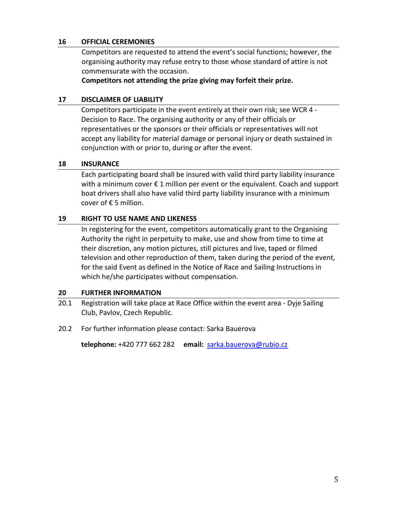#### **16 OFFICIAL CEREMONIES**

Competitors are requested to attend the event's social functions; however, the organising authority may refuse entry to those whose standard of attire is not commensurate with the occasion.

**Competitors not attending the prize giving may forfeit their prize.**

#### **17 DISCLAIMER OF LIABILITY**

Competitors participate in the event entirely at their own risk; see WCR 4 - Decision to Race. The organising authority or any of their officials or representatives or the sponsors or their officials or representatives will not accept any liability for material damage or personal injury or death sustained in conjunction with or prior to, during or after the event.

#### **18 INSURANCE**

Each participating board shall be insured with valid third party liability insurance with a minimum cover € 1 million per event or the equivalent. Coach and support boat drivers shall also have valid third party liability insurance with a minimum cover of € 5 million.

#### **19 RIGHT TO USE NAME AND LIKENESS**

In registering for the event, competitors automatically grant to the Organising Authority the right in perpetuity to make, use and show from time to time at their discretion, any motion pictures, still pictures and live, taped or filmed television and other reproduction of them, taken during the period of the event, for the said Event as defined in the Notice of Race and Sailing Instructions in which he/she participates without compensation.

#### **20 FURTHER INFORMATION**

- 20.1 Registration will take place at Race Office within the event area Dyje Sailing Club, Pavlov, Czech Republic.
- 20.2 For further information please contact: Sarka Bauerova

**telephone:** +420 777 662 282 **email:** [sarka.bauerova@rubio.cz](mailto:sarka.bauerova@rubio.cz)